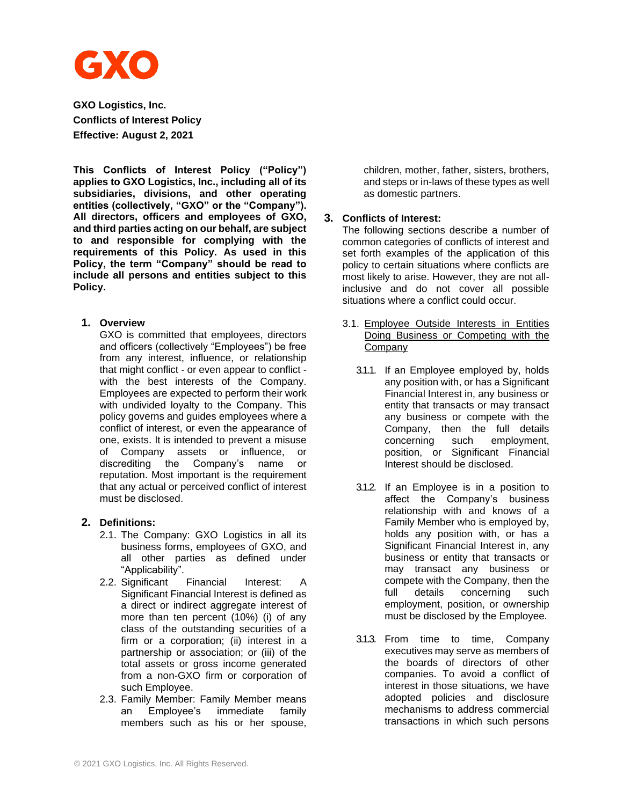

**GXO Logistics, Inc. Conflicts of Interest Policy Effective: August 2, 2021**

**This Conflicts of Interest Policy ("Policy") applies to GXO Logistics, Inc., including all of its subsidiaries, divisions, and other operating entities (collectively, "GXO" or the "Company"). All directors, officers and employees of GXO, and third parties acting on our behalf, are subject to and responsible for complying with the requirements of this Policy. As used in this Policy, the term "Company" should be read to include all persons and entities subject to this Policy.**

#### **1. Overview**

GXO is committed that employees, directors and officers (collectively "Employees") be free from any interest, influence, or relationship that might conflict - or even appear to conflict with the best interests of the Company. Employees are expected to perform their work with undivided loyalty to the Company. This policy governs and guides employees where a conflict of interest, or even the appearance of one, exists. It is intended to prevent a misuse of Company assets or influence, or discrediting the Company's name or reputation. Most important is the requirement that any actual or perceived conflict of interest must be disclosed.

# **2. Definitions:**

- 2.1. The Company: GXO Logistics in all its business forms, employees of GXO, and all other parties as defined under "Applicability".
- 2.2. Significant Financial Interest: A Significant Financial Interest is defined as a direct or indirect aggregate interest of more than ten percent (10%) (i) of any class of the outstanding securities of a firm or a corporation; (ii) interest in a partnership or association; or (iii) of the total assets or gross income generated from a non-GXO firm or corporation of such Employee.
- 2.3. Family Member: Family Member means an Employee's immediate family members such as his or her spouse,

children, mother, father, sisters, brothers, and steps or in-laws of these types as well as domestic partners.

## **3. Conflicts of Interest:**

The following sections describe a number of common categories of conflicts of interest and set forth examples of the application of this policy to certain situations where conflicts are most likely to arise. However, they are not allinclusive and do not cover all possible situations where a conflict could occur.

- 3.1. Employee Outside Interests in Entities Doing Business or Competing with the Company
	- 3.1.1. If an Employee employed by, holds any position with, or has a Significant Financial Interest in, any business or entity that transacts or may transact any business or compete with the Company, then the full details concerning such employment, position, or Significant Financial Interest should be disclosed.
	- 3.1.2. If an Employee is in a position to affect the Company's business relationship with and knows of a Family Member who is employed by, holds any position with, or has a Significant Financial Interest in, any business or entity that transacts or may transact any business or compete with the Company, then the full details concerning such employment, position, or ownership must be disclosed by the Employee.
	- 3.1.3. From time to time, Company executives may serve as members of the boards of directors of other companies. To avoid a conflict of interest in those situations, we have adopted policies and disclosure mechanisms to address commercial transactions in which such persons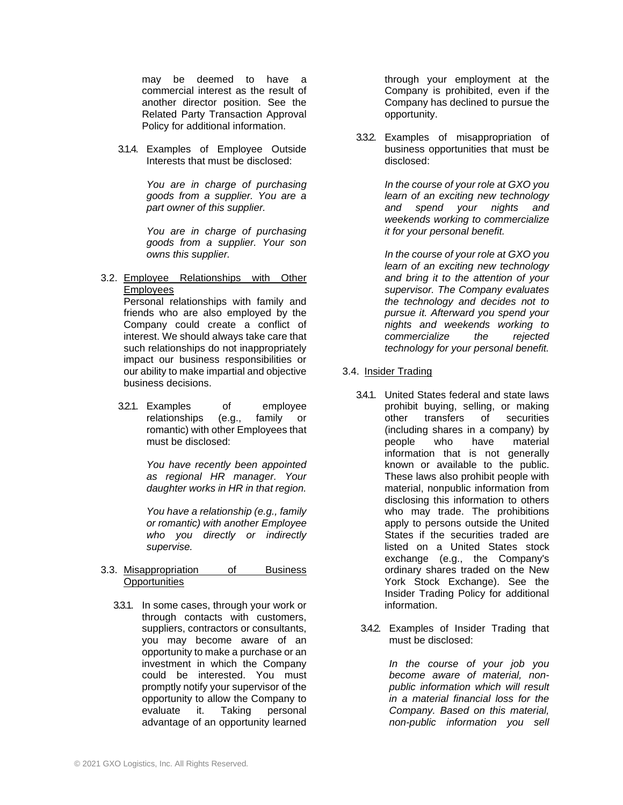may be deemed to have a commercial interest as the result of another director position. See the Related Party Transaction Approval Policy for additional information.

3.1.4. Examples of Employee Outside Interests that must be disclosed:

> *You are in charge of purchasing goods from a supplier. You are a part owner of this supplier.*

> *You are in charge of purchasing goods from a supplier. Your son owns this supplier.*

3.2. Employee Relationships with Other Employees

Personal relationships with family and friends who are also employed by the Company could create a conflict of interest. We should always take care that such relationships do not inappropriately impact our business responsibilities or our ability to make impartial and objective business decisions.

3.2.1. Examples of employee relationships (e.g., family or romantic) with other Employees that must be disclosed:

> *You have recently been appointed as regional HR manager. Your daughter works in HR in that region.*

> *You have a relationship (e.g., family or romantic) with another Employee who you directly or indirectly supervise.*

3.3. Misappropriation of Business **Opportunities** 

3.3.1. In some cases, through your work or through contacts with customers, suppliers, contractors or consultants, you may become aware of an opportunity to make a purchase or an investment in which the Company could be interested. You must promptly notify your supervisor of the opportunity to allow the Company to evaluate it. Taking personal advantage of an opportunity learned through your employment at the Company is prohibited, even if the Company has declined to pursue the opportunity.

3.3.2. Examples of misappropriation of business opportunities that must be disclosed:

> *In the course of your role at GXO you learn of an exciting new technology and spend your nights and weekends working to commercialize it for your personal benefit.*

> *In the course of your role at GXO you learn of an exciting new technology and bring it to the attention of your supervisor. The Company evaluates the technology and decides not to pursue it. Afterward you spend your nights and weekends working to commercialize the rejected technology for your personal benefit.*

- 3.4. Insider Trading
	- 3.4.1. United States federal and state laws prohibit buying, selling, or making other transfers of securities (including shares in a company) by people who have material information that is not generally known or available to the public. These laws also prohibit people with material, nonpublic information from disclosing this information to others who may trade. The prohibitions apply to persons outside the United States if the securities traded are listed on a United States stock exchange (e.g., the Company's ordinary shares traded on the New York Stock Exchange). See the Insider Trading Policy for additional information.
	- 3.4.2. Examples of Insider Trading that must be disclosed:

*In the course of your job you become aware of material, nonpublic information which will result in a material financial loss for the Company. Based on this material, non-public information you sell*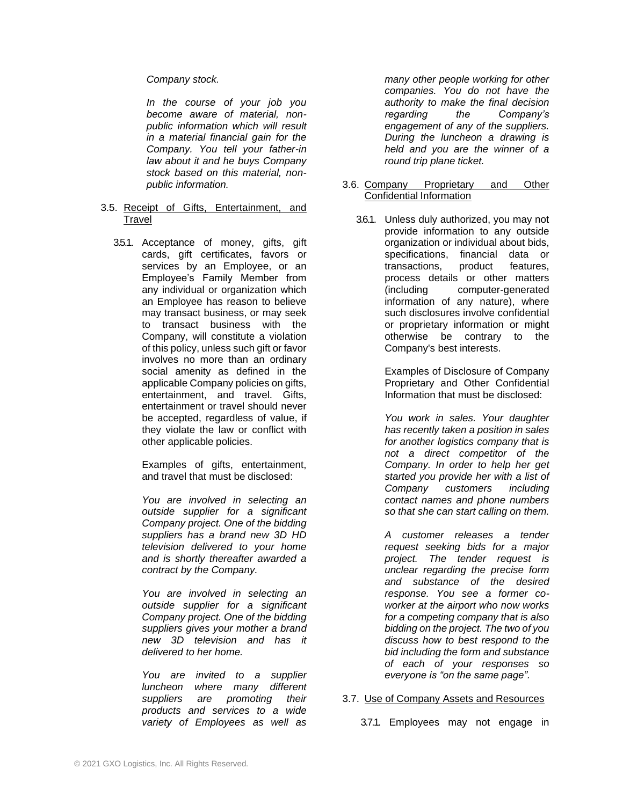#### *Company stock.*

*In the course of your job you become aware of material, nonpublic information which will result in a material financial gain for the Company. You tell your father-in law about it and he buys Company stock based on this material, nonpublic information.*

- 3.5. Receipt of Gifts, Entertainment, and Travel
	- 3.5.1. Acceptance of money, gifts, gift cards, gift certificates, favors or services by an Employee, or an Employee's Family Member from any individual or organization which an Employee has reason to believe may transact business, or may seek to transact business with the Company, will constitute a violation of this policy, unless such gift or favor involves no more than an ordinary social amenity as defined in the applicable Company policies on gifts, entertainment, and travel. Gifts, entertainment or travel should never be accepted, regardless of value, if they violate the law or conflict with other applicable policies.

Examples of gifts, entertainment, and travel that must be disclosed:

*You are involved in selecting an outside supplier for a significant Company project. One of the bidding suppliers has a brand new 3D HD television delivered to your home and is shortly thereafter awarded a contract by the Company.*

*You are involved in selecting an outside supplier for a significant Company project. One of the bidding suppliers gives your mother a brand new 3D television and has it delivered to her home.*

*You are invited to a supplier luncheon where many different suppliers are promoting their products and services to a wide variety of Employees as well as*  *many other people working for other companies. You do not have the authority to make the final decision regarding the Company's engagement of any of the suppliers. During the luncheon a drawing is held and you are the winner of a round trip plane ticket.*

- 3.6. Company Proprietary and Other Confidential Information
	- 3.6.1. Unless duly authorized, you may not provide information to any outside organization or individual about bids, specifications, financial data or transactions, product features, process details or other matters (including computer-generated information of any nature), where such disclosures involve confidential or proprietary information or might otherwise be contrary to the Company's best interests.

Examples of Disclosure of Company Proprietary and Other Confidential Information that must be disclosed:

*You work in sales. Your daughter has recently taken a position in sales for another logistics company that is not a direct competitor of the Company. In order to help her get started you provide her with a list of Company customers including contact names and phone numbers so that she can start calling on them.*

*A customer releases a tender request seeking bids for a major project. The tender request is unclear regarding the precise form and substance of the desired response. You see a former coworker at the airport who now works for a competing company that is also bidding on the project. The two of you discuss how to best respond to the bid including the form and substance of each of your responses so everyone is "on the same page".*

#### 3.7. Use of Company Assets and Resources

3.7.1. Employees may not engage in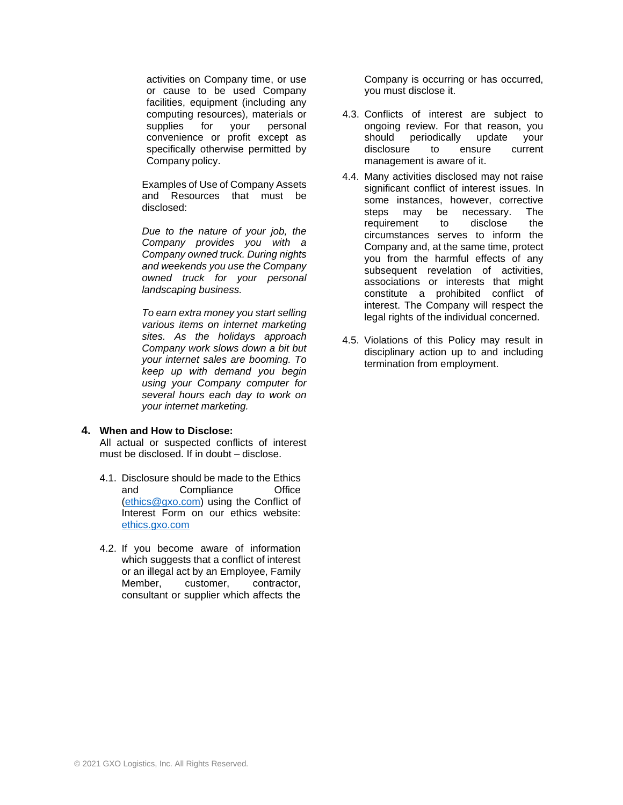activities on Company time, or use or cause to be used Company facilities, equipment (including any computing resources), materials or supplies for your personal convenience or profit except as specifically otherwise permitted by Company policy.

Examples of Use of Company Assets and Resources that must be disclosed:

*Due to the nature of your job, the Company provides you with a Company owned truck. During nights and weekends you use the Company owned truck for your personal landscaping business.*

*To earn extra money you start selling various items on internet marketing sites. As the holidays approach Company work slows down a bit but your internet sales are booming. To keep up with demand you begin using your Company computer for several hours each day to work on your internet marketing.*

## **4. When and How to Disclose:**

All actual or suspected conflicts of interest must be disclosed. If in doubt – disclose.

- 4.1. Disclosure should be made to the Ethics and Compliance Office [\(ethics@gxo.com\)](mailto:ethics@xpo.com) using the Conflict of Interest Form on our ethics website: [ethics.gxo.com](https://ethics.xpo.com/)
- 4.2. If you become aware of information which suggests that a conflict of interest or an illegal act by an Employee, Family Member, customer, contractor, consultant or supplier which affects the

Company is occurring or has occurred, you must disclose it.

- 4.3. Conflicts of interest are subject to ongoing review. For that reason, you should periodically update your disclosure to ensure current management is aware of it.
- 4.4. Many activities disclosed may not raise significant conflict of interest issues. In some instances, however, corrective steps may be necessary. The requirement to disclose the circumstances serves to inform the Company and, at the same time, protect you from the harmful effects of any subsequent revelation of activities, associations or interests that might constitute a prohibited conflict of interest. The Company will respect the legal rights of the individual concerned.
- 4.5. Violations of this Policy may result in disciplinary action up to and including termination from employment.